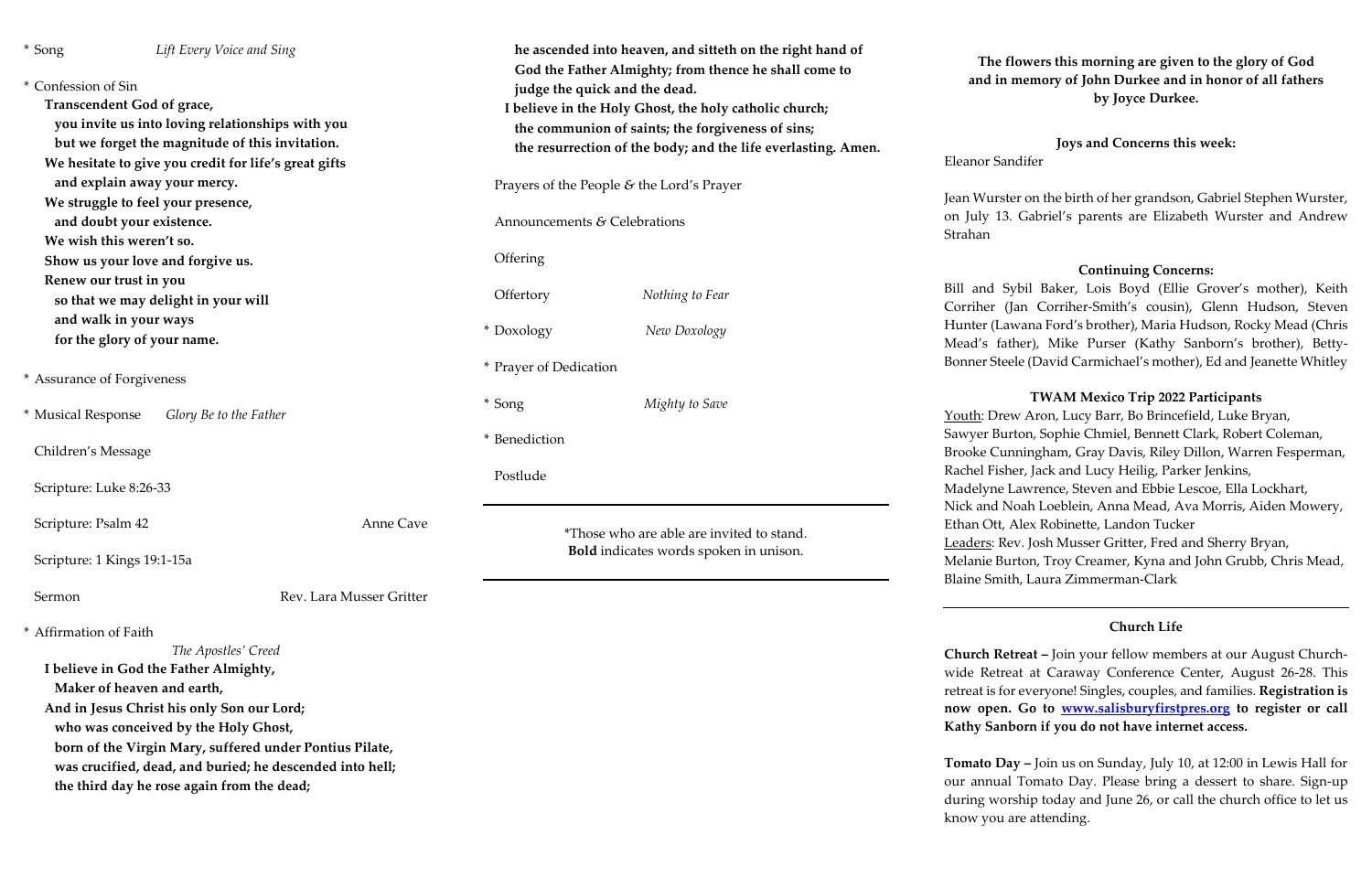| * Song                                                                                                                                                                                                    | Lift Every Voice and Sing                                     |                                        | he ascended into heaven, and sitteth on the right hand of<br>God the Father Almighty; from thence he shall come to                                                                                            | The f<br>and in       |                                                |
|-----------------------------------------------------------------------------------------------------------------------------------------------------------------------------------------------------------|---------------------------------------------------------------|----------------------------------------|---------------------------------------------------------------------------------------------------------------------------------------------------------------------------------------------------------------|-----------------------|------------------------------------------------|
| * Confession of Sin<br>Transcendent God of grace,<br>you invite us into loving relationships with you<br>but we forget the magnitude of this invitation.                                                  |                                                               |                                        | judge the quick and the dead.<br>I believe in the Holy Ghost, the holy catholic church;<br>the communion of saints; the forgiveness of sins;<br>the resurrection of the body; and the life everlasting. Amen. |                       |                                                |
|                                                                                                                                                                                                           | We hesitate to give you credit for life's great gifts         |                                        |                                                                                                                                                                                                               |                       | Eleanor Sa                                     |
|                                                                                                                                                                                                           | and explain away your mercy.                                  |                                        | Prayers of the People & the Lord's Prayer                                                                                                                                                                     | Jean Wurst            |                                                |
| We struggle to feel your presence,<br>and doubt your existence.<br>We wish this weren't so.                                                                                                               |                                                               |                                        | Announcements & Celebrations                                                                                                                                                                                  | on July 13<br>Strahan |                                                |
|                                                                                                                                                                                                           | Show us your love and forgive us.                             |                                        | Offering                                                                                                                                                                                                      |                       |                                                |
|                                                                                                                                                                                                           | Renew our trust in you<br>so that we may delight in your will |                                        | Offertory                                                                                                                                                                                                     | Nothing to Fear       | Bill and S<br>Corriher (                       |
|                                                                                                                                                                                                           | and walk in your ways<br>for the glory of your name.          |                                        | * Doxology                                                                                                                                                                                                    | New Doxology          | Hunter (La<br>Mead's fa                        |
| * Assurance of Forgiveness                                                                                                                                                                                |                                                               |                                        | * Prayer of Dedication                                                                                                                                                                                        |                       | <b>Bonner</b> Ste                              |
| * Musical Response                                                                                                                                                                                        | Glory Be to the Father                                        |                                        | * Song                                                                                                                                                                                                        | Mighty to Save        | Youth: Dre                                     |
| Children's Message                                                                                                                                                                                        |                                                               | * Benediction                          | Sawyer Bu<br><b>Brooke Cu</b>                                                                                                                                                                                 |                       |                                                |
| Scripture: Luke 8:26-33                                                                                                                                                                                   |                                                               |                                        | Postlude                                                                                                                                                                                                      |                       | Rachel Fish<br>Madelyne                        |
| Scripture: Psalm 42                                                                                                                                                                                       |                                                               | Anne Cave                              | *Those who are able are invited to stand.                                                                                                                                                                     |                       | Nick and N<br>Ethan Ott,<br><u>Leaders</u> : R |
| Scripture: 1 Kings 19:1-15a                                                                                                                                                                               |                                                               | Bold indicates words spoken in unison. | Melanie Bu<br><b>Blaine Smi</b>                                                                                                                                                                               |                       |                                                |
| Sermon                                                                                                                                                                                                    |                                                               | Rev. Lara Musser Gritter               |                                                                                                                                                                                                               |                       |                                                |
| * Affirmation of Faith                                                                                                                                                                                    | The Apostles' Creed                                           |                                        |                                                                                                                                                                                                               |                       | <b>Church Re</b>                               |
| I believe in God the Father Almighty,                                                                                                                                                                     |                                                               |                                        |                                                                                                                                                                                                               |                       | wide Retre                                     |
|                                                                                                                                                                                                           | Maker of heaven and earth,                                    |                                        |                                                                                                                                                                                                               |                       | retreat is fo                                  |
|                                                                                                                                                                                                           | And in Jesus Christ his only Son our Lord;                    |                                        |                                                                                                                                                                                                               |                       | now open                                       |
| who was conceived by the Holy Ghost,<br>born of the Virgin Mary, suffered under Pontius Pilate,<br>was crucified, dead, and buried; he descended into hell;<br>the third day he rose again from the dead; |                                                               |                                        |                                                                                                                                                                                                               |                       | <b>Kathy San</b>                               |
|                                                                                                                                                                                                           |                                                               |                                        |                                                                                                                                                                                                               |                       | Tomato Da                                      |
|                                                                                                                                                                                                           |                                                               |                                        |                                                                                                                                                                                                               |                       | our annua                                      |
|                                                                                                                                                                                                           |                                                               |                                        |                                                                                                                                                                                                               |                       | during wo                                      |

## **The flowers this morning are given to the glory of God and in memory of John Durkee and in honor of all fathers by Joyce Durkee.**

**Tay –** Join us on Sunday, July 10, at 12:00 in Lewis Hall for al Tomato Day. Please bring a dessert to share. Sign-up ig worship today and June 26, or call the church office to let us know you are attending.

## **Joys and Concerns this week:**

ndifer

ter on the birth of her grandson, Gabriel Stephen Wurster, d. Gabriel's parents are Elizabeth Wurster and Andrew

## **Continuing Concerns:**

Sybil Baker, Lois Boyd (Ellie Grover's mother), Keith (Jan Corriher-Smith's cousin), Glenn Hudson, Steven awana Ford's brother), Maria Hudson, Rocky Mead (Chris ather), Mike Purser (Kathy Sanborn's brother), Bettyeele (David Carmichael's mother), Ed and Jeanette Whitley

#### **TWAM Mexico Trip 2022 Participants**

ew Aron, Lucy Barr, Bo Brincefield, Luke Bryan, Irton, Sophie Chmiel, Bennett Clark, Robert Coleman, Inningham, Gray Davis, Riley Dillon, Warren Fesperman, her, Jack and Lucy Heilig, Parker Jenkins, Lawrence, Steven and Ebbie Lescoe, Ella Lockhart, Noah Loeblein, Anna Mead, Ava Morris, Aiden Mowery, Alex Robinette, Landon Tucker Rev. Josh Musser Gritter, Fred and Sherry Bryan, urton, Troy Creamer, Kyna and John Grubb, Chris Mead, ith, Laura Zimmerman-Clark

#### **Church Life**

**etreat –** Join your fellow members at our August Churcheat at Caraway Conference Center, August 26-28. This or everyone! Singles, couples, and families. **Registration is n**. Go to **www.salisburyfirstpres.org** to register or call **k**horn if you do not have internet access.